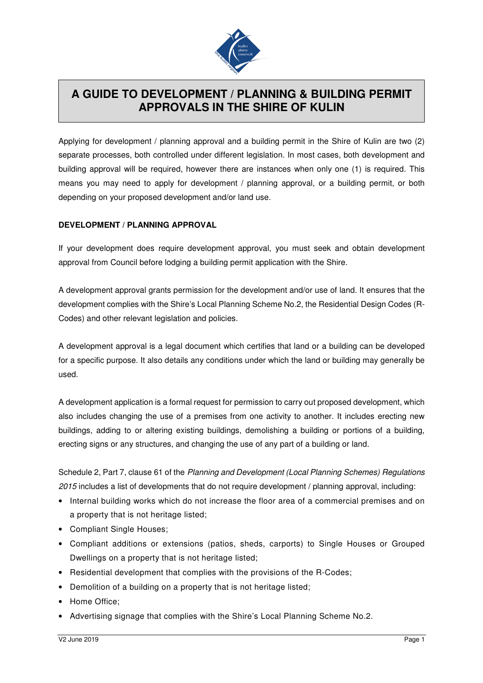

## **A GUIDE TO DEVELOPMENT / PLANNING & BUILDING PERMIT APPROVALS IN THE SHIRE OF KULIN**

Applying for development / planning approval and a building permit in the Shire of Kulin are two (2) separate processes, both controlled under different legislation. In most cases, both development and building approval will be required, however there are instances when only one (1) is required. This means you may need to apply for development / planning approval, or a building permit, or both depending on your proposed development and/or land use.

## **DEVELOPMENT / PLANNING APPROVAL**

If your development does require development approval, you must seek and obtain development approval from Council before lodging a building permit application with the Shire.

A development approval grants permission for the development and/or use of land. It ensures that the development complies with the Shire's Local Planning Scheme No.2, the Residential Design Codes (R-Codes) and other relevant legislation and policies.

A development approval is a legal document which certifies that land or a building can be developed for a specific purpose. It also details any conditions under which the land or building may generally be used.

A development application is a formal request for permission to carry out proposed development, which also includes changing the use of a premises from one activity to another. It includes erecting new buildings, adding to or altering existing buildings, demolishing a building or portions of a building, erecting signs or any structures, and changing the use of any part of a building or land.

Schedule 2, Part 7, clause 61 of the Planning and Development (Local Planning Schemes) Regulations 2015 includes a list of developments that do not require development / planning approval, including:

- Internal building works which do not increase the floor area of a commercial premises and on a property that is not heritage listed;
- Compliant Single Houses;
- Compliant additions or extensions (patios, sheds, carports) to Single Houses or Grouped Dwellings on a property that is not heritage listed;
- Residential development that complies with the provisions of the R-Codes;
- Demolition of a building on a property that is not heritage listed;
- Home Office;
- Advertising signage that complies with the Shire's Local Planning Scheme No.2.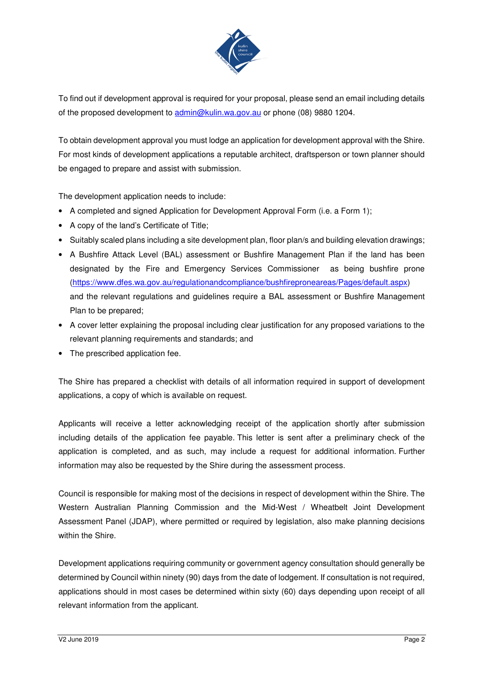

To find out if development approval is required for your proposal, please send an email including details of the proposed development to admin@kulin.wa.gov.au or phone (08) 9880 1204.

To obtain development approval you must lodge an application for development approval with the Shire. For most kinds of development applications a reputable architect, draftsperson or town planner should be engaged to prepare and assist with submission.

The development application needs to include:

- A completed and signed Application for Development Approval Form (i.e. a Form 1);
- A copy of the land's Certificate of Title;
- Suitably scaled plans including a site development plan, floor plan/s and building elevation drawings;
- A Bushfire Attack Level (BAL) assessment or Bushfire Management Plan if the land has been designated by the Fire and Emergency Services Commissioner as being bushfire prone (https://www.dfes.wa.gov.au/regulationandcompliance/bushfireproneareas/Pages/default.aspx) and the relevant regulations and guidelines require a BAL assessment or Bushfire Management Plan to be prepared;
- A cover letter explaining the proposal including clear justification for any proposed variations to the relevant planning requirements and standards; and
- The prescribed application fee.

The Shire has prepared a checklist with details of all information required in support of development applications, a copy of which is available on request.

Applicants will receive a letter acknowledging receipt of the application shortly after submission including details of the application fee payable. This letter is sent after a preliminary check of the application is completed, and as such, may include a request for additional information. Further information may also be requested by the Shire during the assessment process.

Council is responsible for making most of the decisions in respect of development within the Shire. The Western Australian Planning Commission and the Mid-West / Wheatbelt Joint Development Assessment Panel (JDAP), where permitted or required by legislation, also make planning decisions within the Shire.

Development applications requiring community or government agency consultation should generally be determined by Council within ninety (90) days from the date of lodgement. If consultation is not required, applications should in most cases be determined within sixty (60) days depending upon receipt of all relevant information from the applicant.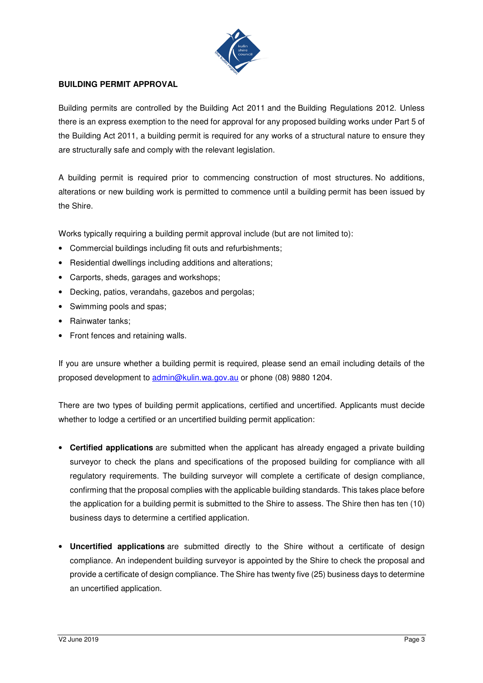

## **BUILDING PERMIT APPROVAL**

Building permits are controlled by the Building Act 2011 and the Building Regulations 2012. Unless there is an express exemption to the need for approval for any proposed building works under Part 5 of the Building Act 2011, a building permit is required for any works of a structural nature to ensure they are structurally safe and comply with the relevant legislation.

A building permit is required prior to commencing construction of most structures. No additions, alterations or new building work is permitted to commence until a building permit has been issued by the Shire.

Works typically requiring a building permit approval include (but are not limited to):

- Commercial buildings including fit outs and refurbishments;
- Residential dwellings including additions and alterations;
- Carports, sheds, garages and workshops;
- Decking, patios, verandahs, gazebos and pergolas;
- Swimming pools and spas;
- Rainwater tanks;
- Front fences and retaining walls.

If you are unsure whether a building permit is required, please send an email including details of the proposed development to admin@kulin.wa.gov.au or phone (08) 9880 1204.

There are two types of building permit applications, certified and uncertified. Applicants must decide whether to lodge a certified or an uncertified building permit application:

- **Certified applications** are submitted when the applicant has already engaged a private building surveyor to check the plans and specifications of the proposed building for compliance with all regulatory requirements. The building surveyor will complete a certificate of design compliance, confirming that the proposal complies with the applicable building standards. This takes place before the application for a building permit is submitted to the Shire to assess. The Shire then has ten (10) business days to determine a certified application.
- **Uncertified applications** are submitted directly to the Shire without a certificate of design compliance. An independent building surveyor is appointed by the Shire to check the proposal and provide a certificate of design compliance. The Shire has twenty five (25) business days to determine an uncertified application.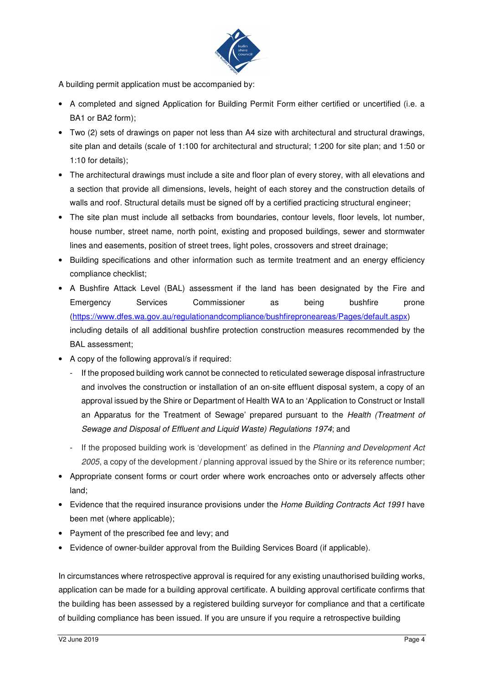

A building permit application must be accompanied by:

- A completed and signed Application for Building Permit Form either certified or uncertified (i.e. a BA1 or BA2 form);
- Two (2) sets of drawings on paper not less than A4 size with architectural and structural drawings, site plan and details (scale of 1:100 for architectural and structural; 1:200 for site plan; and 1:50 or 1:10 for details);
- The architectural drawings must include a site and floor plan of every storey, with all elevations and a section that provide all dimensions, levels, height of each storey and the construction details of walls and roof. Structural details must be signed off by a certified practicing structural engineer;
- The site plan must include all setbacks from boundaries, contour levels, floor levels, lot number, house number, street name, north point, existing and proposed buildings, sewer and stormwater lines and easements, position of street trees, light poles, crossovers and street drainage;
- Building specifications and other information such as termite treatment and an energy efficiency compliance checklist;
- A Bushfire Attack Level (BAL) assessment if the land has been designated by the Fire and Emergency Services Commissioner as being bushfire prone (https://www.dfes.wa.gov.au/regulationandcompliance/bushfireproneareas/Pages/default.aspx) including details of all additional bushfire protection construction measures recommended by the BAL assessment;
- A copy of the following approval/s if required:
	- If the proposed building work cannot be connected to reticulated sewerage disposal infrastructure and involves the construction or installation of an on-site effluent disposal system, a copy of an approval issued by the Shire or Department of Health WA to an 'Application to Construct or Install an Apparatus for the Treatment of Sewage' prepared pursuant to the Health (Treatment of Sewage and Disposal of Effluent and Liquid Waste) Regulations 1974; and
	- If the proposed building work is 'development' as defined in the Planning and Development Act 2005, a copy of the development / planning approval issued by the Shire or its reference number;
- Appropriate consent forms or court order where work encroaches onto or adversely affects other land;
- Evidence that the required insurance provisions under the Home Building Contracts Act 1991 have been met (where applicable);
- Payment of the prescribed fee and levy; and
- Evidence of owner-builder approval from the Building Services Board (if applicable).

In circumstances where retrospective approval is required for any existing unauthorised building works, application can be made for a building approval certificate. A building approval certificate confirms that the building has been assessed by a registered building surveyor for compliance and that a certificate of building compliance has been issued. If you are unsure if you require a retrospective building